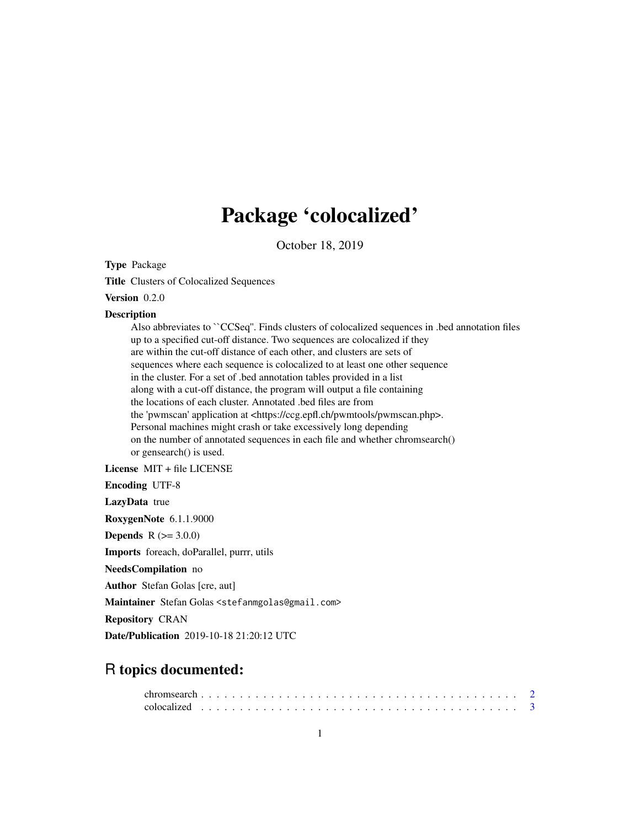# Package 'colocalized'

October 18, 2019

Type Package

Title Clusters of Colocalized Sequences

Version 0.2.0

#### **Description**

Also abbreviates to ``CCSeq''. Finds clusters of colocalized sequences in .bed annotation files up to a specified cut-off distance. Two sequences are colocalized if they are within the cut-off distance of each other, and clusters are sets of sequences where each sequence is colocalized to at least one other sequence in the cluster. For a set of .bed annotation tables provided in a list along with a cut-off distance, the program will output a file containing the locations of each cluster. Annotated .bed files are from the 'pwmscan' application at <https://ccg.epfl.ch/pwmtools/pwmscan.php>. Personal machines might crash or take excessively long depending on the number of annotated sequences in each file and whether chromsearch() or gensearch() is used.

License MIT + file LICENSE

Encoding UTF-8

LazyData true

RoxygenNote 6.1.1.9000

**Depends**  $R (= 3.0.0)$ 

Imports foreach, doParallel, purrr, utils

NeedsCompilation no

Author Stefan Golas [cre, aut]

Maintainer Stefan Golas <stefanmgolas@gmail.com>

Repository CRAN

Date/Publication 2019-10-18 21:20:12 UTC

# R topics documented: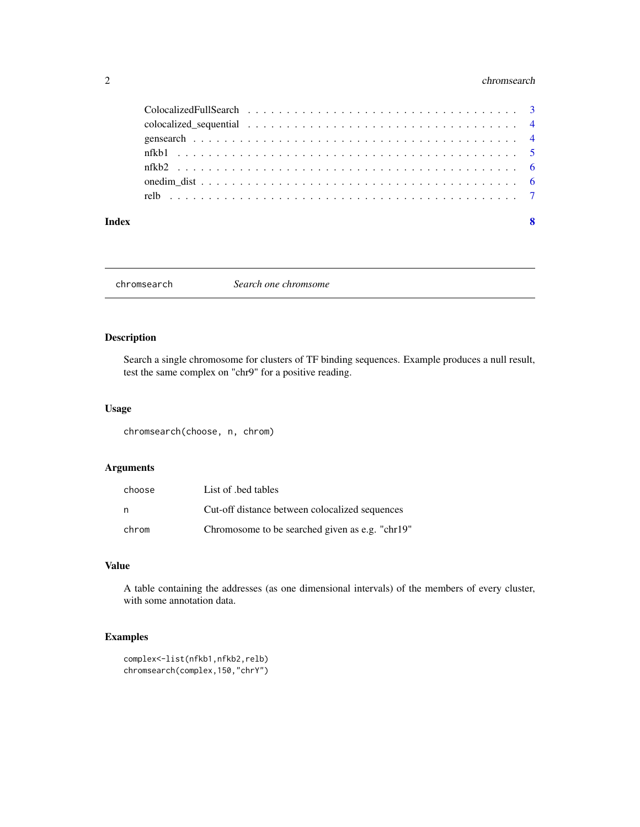# <span id="page-1-0"></span>2 chromsearch changes are the chromsearch chromsearch changes and chromsearch chromsearch chromsearch changes are the state of  $\alpha$

#### **Index** [8](#page-7-0) **8**

chromsearch *Search one chromsome*

# Description

Search a single chromosome for clusters of TF binding sequences. Example produces a null result, test the same complex on "chr9" for a positive reading.

#### Usage

chromsearch(choose, n, chrom)

# Arguments

| choose | List of bed tables                              |
|--------|-------------------------------------------------|
| n,     | Cut-off distance between colocalized sequences  |
| chrom  | Chromosome to be searched given as e.g. "chr19" |

#### Value

A table containing the addresses (as one dimensional intervals) of the members of every cluster, with some annotation data.

# Examples

```
complex<-list(nfkb1,nfkb2,relb)
chromsearch(complex,150,"chrY")
```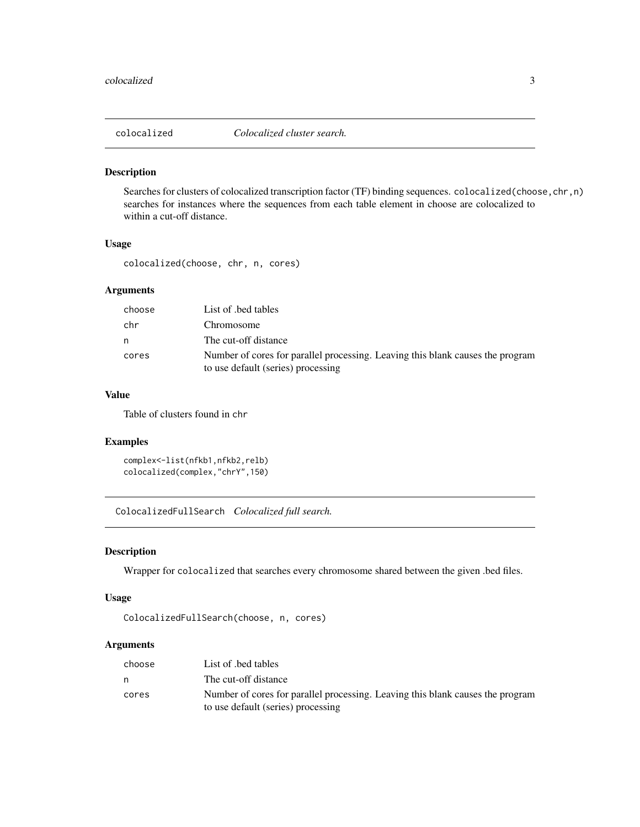<span id="page-2-0"></span>

# Description

Searches for clusters of colocalized transcription factor (TF) binding sequences. colocalized(choose,chr,n) searches for instances where the sequences from each table element in choose are colocalized to within a cut-off distance.

# Usage

colocalized(choose, chr, n, cores)

# Arguments

| choose | List of bed tables                                                                                                   |
|--------|----------------------------------------------------------------------------------------------------------------------|
| chr    | Chromosome                                                                                                           |
| n.     | The cut-off distance                                                                                                 |
| cores  | Number of cores for parallel processing. Leaving this blank causes the program<br>to use default (series) processing |

# Value

Table of clusters found in chr

# Examples

```
complex<-list(nfkb1,nfkb2,relb)
colocalized(complex,"chrY",150)
```
ColocalizedFullSearch *Colocalized full search.*

# Description

Wrapper for colocalized that searches every chromosome shared between the given .bed files.

# Usage

```
ColocalizedFullSearch(choose, n, cores)
```
#### Arguments

| choose | List of bed tables                                                                                                   |
|--------|----------------------------------------------------------------------------------------------------------------------|
| n      | The cut-off distance                                                                                                 |
| cores  | Number of cores for parallel processing. Leaving this blank causes the program<br>to use default (series) processing |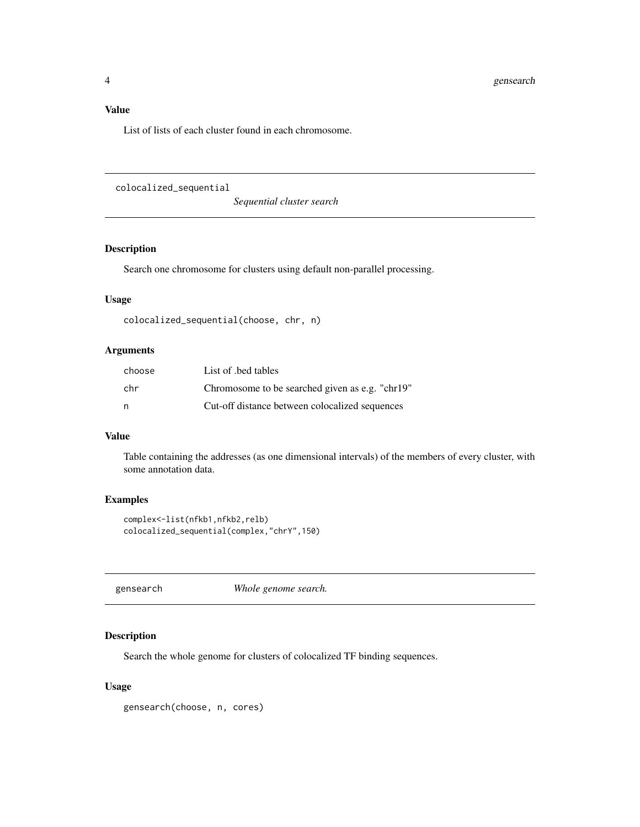# <span id="page-3-0"></span>Value

List of lists of each cluster found in each chromosome.

colocalized\_sequential

*Sequential cluster search*

# Description

Search one chromosome for clusters using default non-parallel processing.

#### Usage

```
colocalized_sequential(choose, chr, n)
```
## Arguments

| choose | List of bed tables                              |
|--------|-------------------------------------------------|
| chr.   | Chromosome to be searched given as e.g. "chr19" |
| n,     | Cut-off distance between colocalized sequences  |

# Value

Table containing the addresses (as one dimensional intervals) of the members of every cluster, with some annotation data.

# Examples

```
complex<-list(nfkb1,nfkb2,relb)
colocalized_sequential(complex,"chrY",150)
```
gensearch *Whole genome search.*

# Description

Search the whole genome for clusters of colocalized TF binding sequences.

#### Usage

gensearch(choose, n, cores)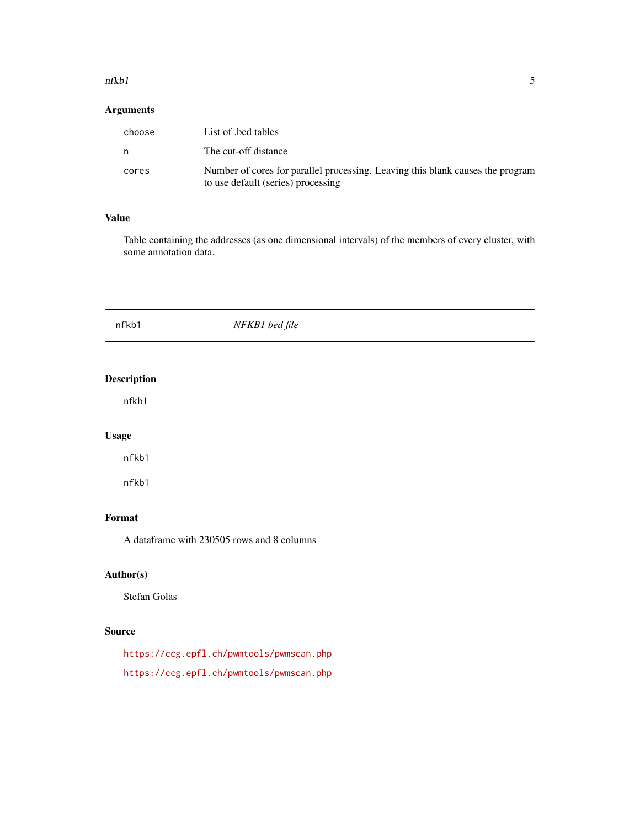#### <span id="page-4-0"></span>nfkbl 5

# Arguments

| choose | List of bed tables                                                                                                   |
|--------|----------------------------------------------------------------------------------------------------------------------|
| n      | The cut-off distance                                                                                                 |
| cores  | Number of cores for parallel processing. Leaving this blank causes the program<br>to use default (series) processing |

#### Value

Table containing the addresses (as one dimensional intervals) of the members of every cluster, with some annotation data.

| nfkb1              | NFKB1 bed file |  |
|--------------------|----------------|--|
|                    |                |  |
| <b>Description</b> |                |  |

#### nfkb1

# Usage

nfkb1

nfkb1

# Format

A dataframe with 230505 rows and 8 columns

# Author(s)

Stefan Golas

#### Source

<https://ccg.epfl.ch/pwmtools/pwmscan.php> <https://ccg.epfl.ch/pwmtools/pwmscan.php>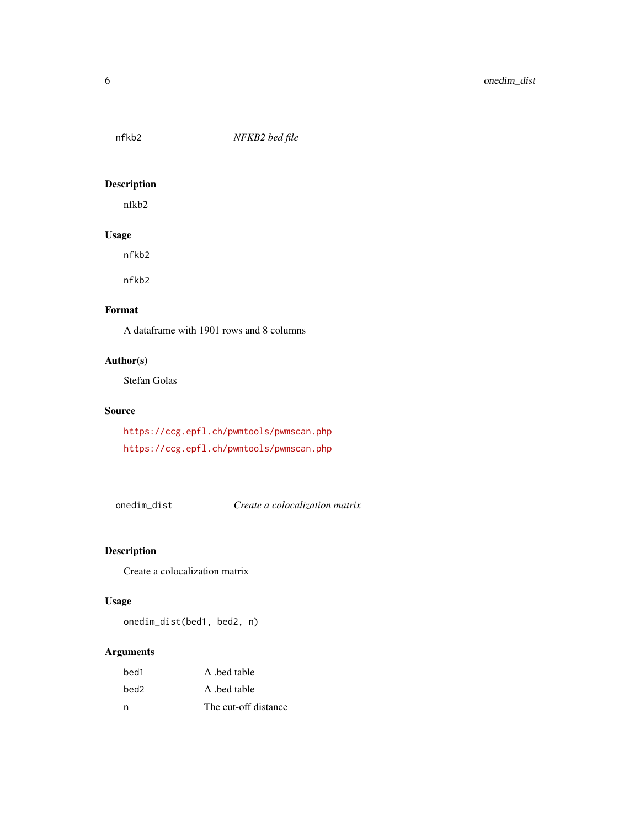<span id="page-5-0"></span>

# Description

nfkb2

# Usage

nfkb2

nfkb2

# Format

A dataframe with 1901 rows and 8 columns

# Author(s)

Stefan Golas

# Source

<https://ccg.epfl.ch/pwmtools/pwmscan.php> <https://ccg.epfl.ch/pwmtools/pwmscan.php>

onedim\_dist *Create a colocalization matrix*

# Description

Create a colocalization matrix

# Usage

onedim\_dist(bed1, bed2, n)

# Arguments

| bed1 | A bed table          |
|------|----------------------|
| bed2 | A bed table          |
| n    | The cut-off distance |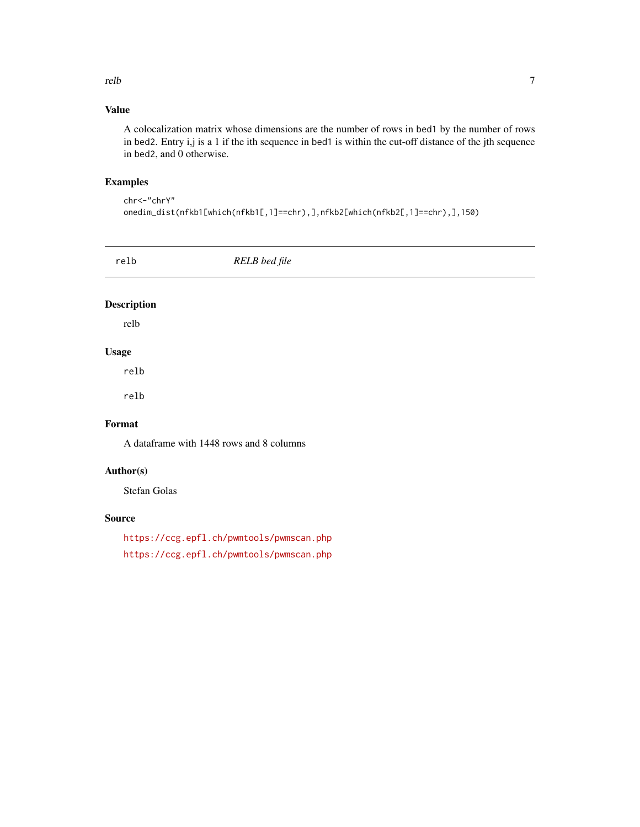#### <span id="page-6-0"></span>relb 2008 and 2008 and 2008 and 2008 and 2008 and 2008 and 2008 and 2008 and 2008 and 2008 and 2008 and 2008 and 2008 and 2008 and 2008 and 2008 and 2008 and 2008 and 2008 and 2008 and 2008 and 2008 and 2008 and 2008 and 2

# Value

A colocalization matrix whose dimensions are the number of rows in bed1 by the number of rows in bed2. Entry i,j is a 1 if the ith sequence in bed1 is within the cut-off distance of the jth sequence in bed2, and 0 otherwise.

# Examples

chr<-"chrY" onedim\_dist(nfkb1[which(nfkb1[,1]==chr),],nfkb2[which(nfkb2[,1]==chr),],150)

| relb               | RELB bed file |
|--------------------|---------------|
| <b>Description</b> |               |

relb

# Usage

relb

relb

# Format

A dataframe with 1448 rows and 8 columns

# Author(s)

Stefan Golas

### Source

<https://ccg.epfl.ch/pwmtools/pwmscan.php> <https://ccg.epfl.ch/pwmtools/pwmscan.php>